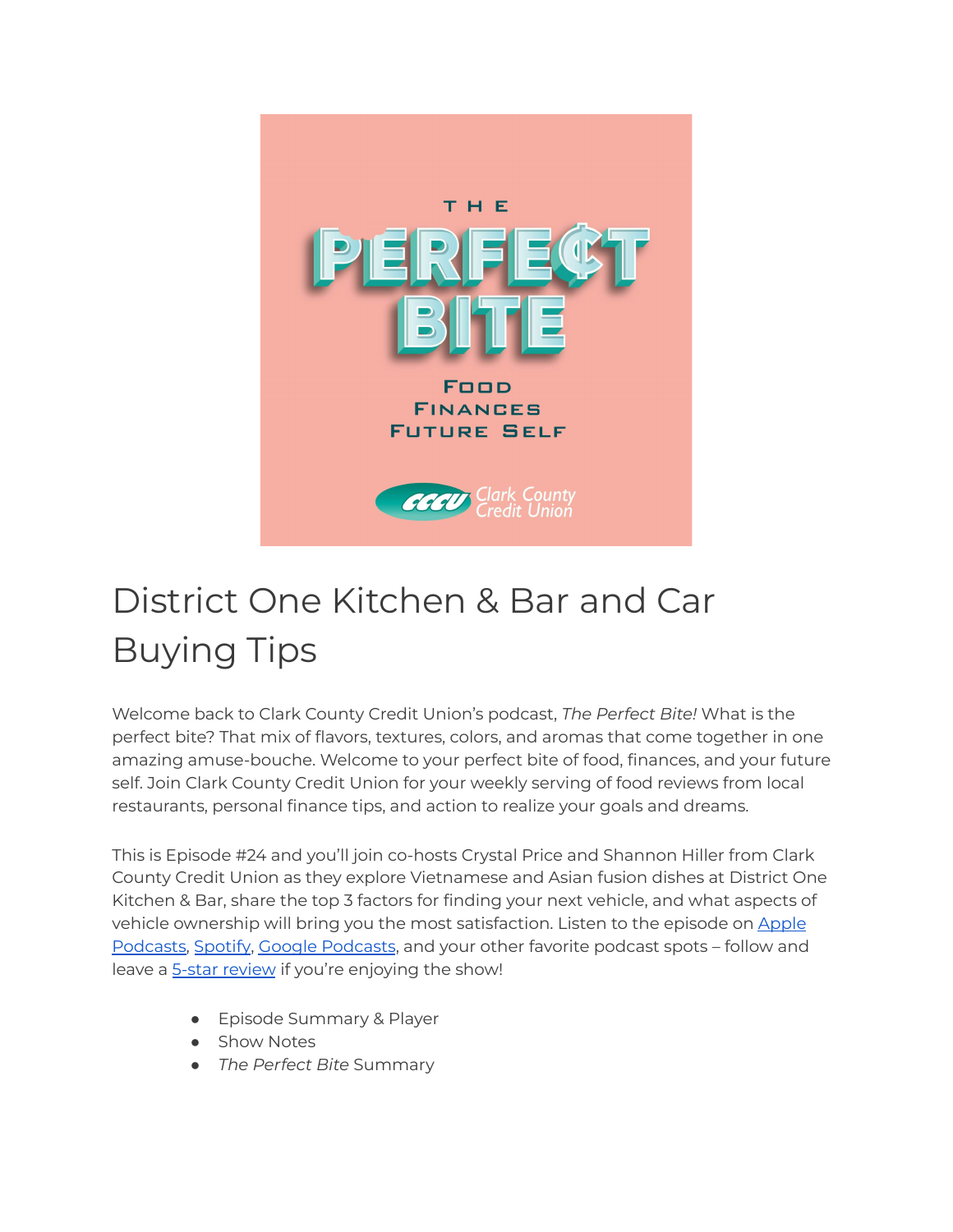

# District One Kitchen & Bar and Car Buying Tips

Welcome back to Clark County Credit Union's podcast, *The Perfect Bite!* What is the perfect bite? That mix of flavors, textures, colors, and aromas that come together in one amazing amuse-bouche. Welcome to your perfect bite of food, finances, and your future self. Join Clark County Credit Union for your weekly serving of food reviews from local restaurants, personal finance tips, and action to realize your goals and dreams.

This is Episode #24 and you'll join co-hosts Crystal Price and Shannon Hiller from Clark County Credit Union as they explore Vietnamese and Asian fusion dishes at District One Kitchen & Bar, share the top 3 factors for finding your next vehicle, and what aspects of vehicle ownership will bring you the most satisfaction. Listen to the episode on [Apple](https://podcasts.apple.com/us/podcast/the-perfect-bite/id1604656448) [Podcasts,](https://podcasts.apple.com/us/podcast/the-perfect-bite/id1604656448) [Spotify](https://open.spotify.com/show/7tNPJZBNHabGWEFmjnHaxR?si=a0a7808911264628), Google [Podcasts](https://podcasts.google.com/feed/aHR0cHM6Ly9wZXJmZWN0Yml0ZS5saWJzeW4uY29tL3Jzcw?sa=X&ved=0CAMQ4aUDahcKEwi47ZHlgPP1AhUAAAAAHQAAAAAQRA), and your other favorite podcast spots – follow and leave a **5-star [review](https://podcasts.apple.com/us/podcast/the-perfect-bite/id1604656448)** if you're enjoying the show!

- Episode Summary & Player
- Show Notes
- *The Perfect Bite* Summary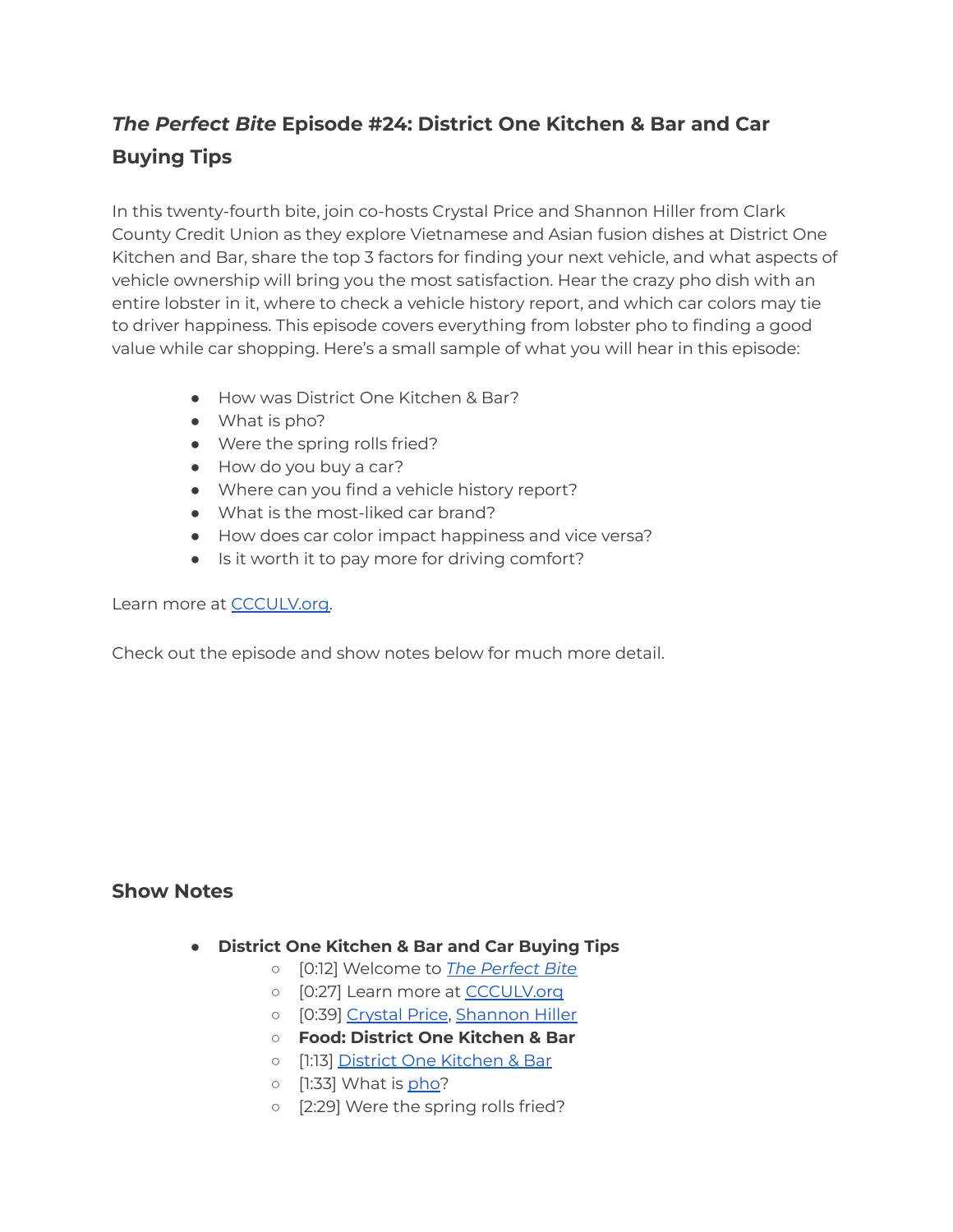# *The Perfect Bite* **Episode #24: District One Kitchen & Bar and Car Buying Tips**

In this twenty-fourth bite, join co-hosts Crystal Price and Shannon Hiller from Clark County Credit Union as they explore Vietnamese and Asian fusion dishes at District One Kitchen and Bar, share the top 3 factors for finding your next vehicle, and what aspects of vehicle ownership will bring you the most satisfaction. Hear the crazy pho dish with an entire lobster in it, where to check a vehicle history report, and which car colors may tie to driver happiness. This episode covers everything from lobster pho to finding a good value while car shopping. Here's a small sample of what you will hear in this episode:

- How was District One Kitchen & Bar?
- What is pho?
- Were the spring rolls fried?
- How do you buy a car?
- Where can you find a vehicle history report?
- What is the most-liked car brand?
- How does car color impact happiness and vice versa?
- Is it worth it to pay more for driving comfort?

#### Learn more at **[CCCULV.org.](https://www.ccculv.org/)**

Check out the episode and show notes below for much more detail.

## **Show Notes**

- **District One Kitchen & Bar and Car Buying Tips**
	- [0:12] Welcome to *[The Perfect Bite](https://www.ccculv.org/)*
	- o [0:27] Learn more at [CCCULV.org](https://www.ccculv.org/)
	- [0:39] [Crystal Price](https://www.ccculv.org/Our-Mission.aspx), [Shannon Hiller](https://www.ccculv.org/Our-Mission.aspx)
	- **○ Food: District One Kitchen & Bar**
	- [1:13] [District One Kitchen & Bar](https://www.districtonelv.com/)
	- o [1:33] What is [pho?](https://www.districtonelv.com/)
	- [2:29] Were the spring rolls fried?